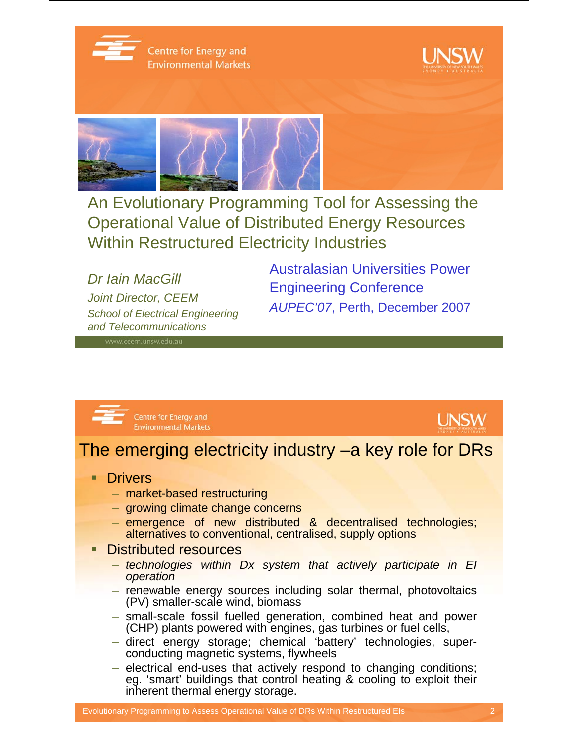

Centre for Energy and **Environmental Markets** 





An Evolutionary Programming Tool for Assessing the Operational Value of Distributed Energy Resources Within Restructured Electricity Industries

*Dr Iain MacGill Joint Director, CEEM School of Electrical Engineering and Telecommunications*

Australasian Universities Power Engineering Conference *AUPEC'07*, Perth, December 2007



Centre for Energy and **Environmental Markets** 



## The emerging electricity industry –a key role for DRs

- **Drivers** 
	- market-based restructuring
	- growing climate change concerns
	- emergence of new distributed & decentralised technologies; alternatives to conventional, centralised, supply options

## Distributed resources

- *technologies within Dx system that actively participate in EI operation*
- renewable energy sources including solar thermal, photovoltaics (PV) smaller-scale wind, biomass
- small-scale fossil fuelled generation, combined heat and power (CHP) plants powered with engines, gas turbines or fuel cells,
- direct energy storage; chemical 'battery' technologies, superconducting magnetic systems, flywheels
- electrical end-uses that actively respond to changing conditions; eg. 'smart' buildings that control heating & cooling to exploit their inherent thermal energy storage.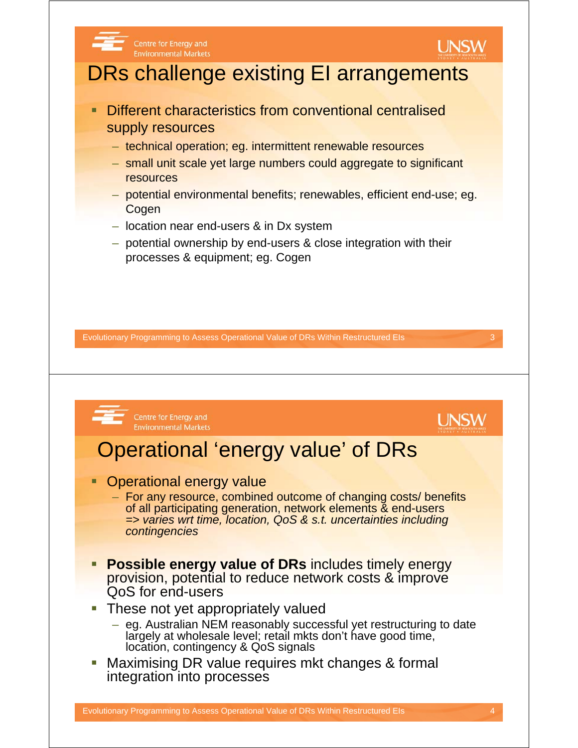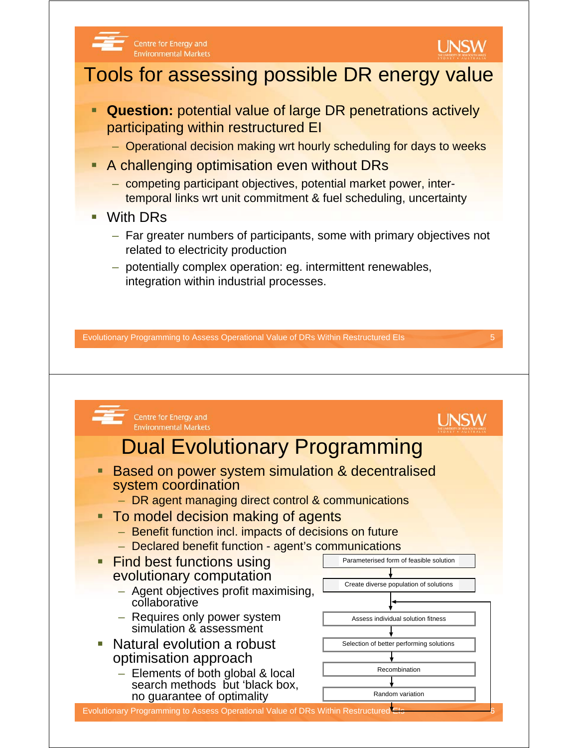

Evolutionary Programming to Assess Operational Value of DRs Within Restructured E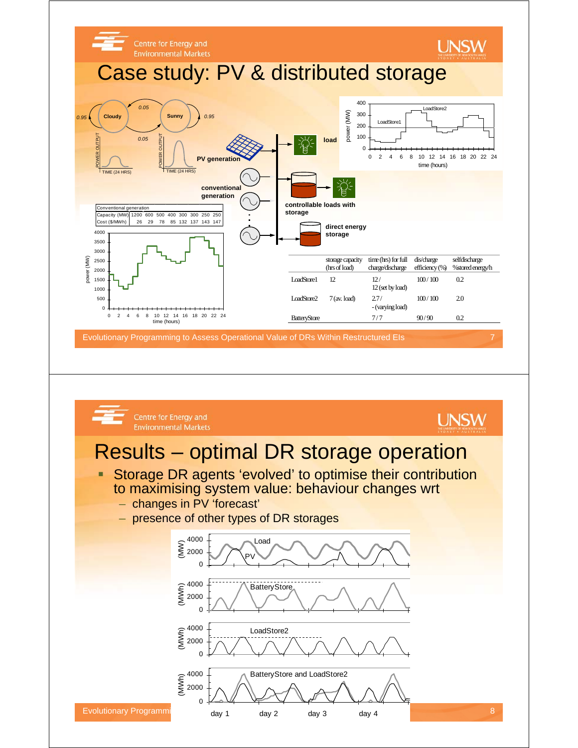

day 3

Evolutionary Programming to Assess of Assessment Cay 2 day 3 day 4 day 4 day 3 day 4 day 4 contract 2 day 4 contract 2 day 4 contract 2 day 4 contract 2 day 4 contract 2 day 4 contract 2 day 4 contract 2 day 4 contract 2 d